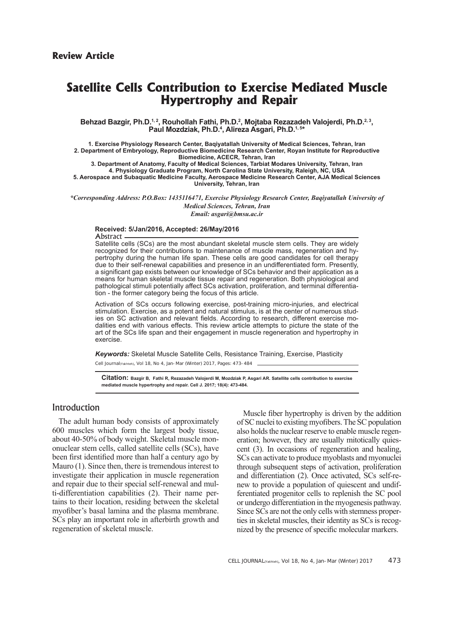# **Satellite Cells Contribution to Exercise Mediated Muscle Hypertrophy and Repair**

Behzad Bazgir, Ph.D.1<sub>'</sub>, Rouhollah Fathi, Ph.D.<sup>2</sup>, Mojtaba Rezazadeh Valojerdi, Ph.D.<sup>2, 3</sup>, **Paul Mozdziak, Ph.D.4 , Alireza Asgari, Ph.D.1, 5\***

**1. Exercise Physiology Research Center, Baqiyatallah University of Medical Sciences, Tehran, Iran 2. Department of Embryology, Reproductive Biomedicine Research Center, Royan Institute for Reproductive Biomedicine, ACECR, Tehran, Iran 3. Department of Anatomy, Faculty of Medical Sciences, Tarbiat Modares University, Tehran, Iran**

**4. Physiology Graduate Program, North Carolina State University, Raleigh, NC, USA 5. Aerospace and Subaquatic Medicine Faculty, Aerospace Medicine Research Center, AJA Medical Sciences University, Tehran, Iran** 

*\*Corresponding Address: P.O.Box: 1435116471, Exercise Physiology Research Center, Baqiyatallah University of Medical Sciences, Tehran, Iran Email: asgari@bmsu.ac.ir* 

#### **Received: 5/Jan/2016, Accepted: 26/May/2016**

Abstract

Satellite cells (SCs) are the most abundant skeletal muscle stem cells. They are widely recognized for their contributions to maintenance of muscle mass, regeneration and hypertrophy during the human life span. These cells are good candidates for cell therapy due to their self-renewal capabilities and presence in an undifferentiated form. Presently, a significant gap exists between our knowledge of SCs behavior and their application as a means for human skeletal muscle tissue repair and regeneration. Both physiological and pathological stimuli potentially affect SCs activation, proliferation, and terminal differentiation - the former category being the focus of this article.

Activation of SCs occurs following exercise, post-training micro-injuries, and electrical stimulation. Exercise, as a potent and natural stimulus, is at the center of numerous studies on SC activation and relevant fields. According to research, different exercise modalities end with various effects. This review article attempts to picture the state of the art of the SCs life span and their engagement in muscle regeneration and hypertrophy in exercise.

*Keywords:* Skeletal Muscle Satellite Cells, Resistance Training, Exercise, Plasticity

Cell Journal(Yakhteh), Vol 18, No 4, Jan-Mar (Winter) 2017, Pages: 473-484

**Citation: Bazgir B, Fathi R, Rezazadeh Valojerdi M, Mozdziak P, Asgari AR. Satellite cells contribution to exercise mediated muscle hypertrophy and repair. Cell J. 2017; 18(4): 473-484.**

# Introduction

The adult human body consists of approximately 600 muscles which form the largest body tissue, about 40-50% of body weight. Skeletal muscle mononuclear stem cells, called satellite cells (SCs), have been first identified more than half a century ago by Mauro (1). Since then, there is tremendous interest to investigate their application in muscle regeneration and repair due to their special self-renewal and multi-differentiation capabilities (2). Their name pertains to their location, residing between the skeletal myofiber's basal lamina and the plasma membrane. SCs play an important role in afterbirth growth and regeneration of skeletal muscle.

Muscle fiber hypertrophy is driven by the addition of SC nuclei to existing myofibers. The SC population also holds the nuclear reserve to enable muscle regeneration; however, they are usually mitotically quiescent (3). In occasions of regeneration and healing, SCs can activate to produce myoblasts and myonuclei through subsequent steps of activation, proliferation and differentiation (2). Once activated, SCs self-renew to provide a population of quiescent and undifferentiated progenitor cells to replenish the SC pool or undergo differentiation in the myogenesis pathway. Since SCs are not the only cells with stemness properties in skeletal muscles, their identity as SCs is recognized by the presence of specific molecular markers.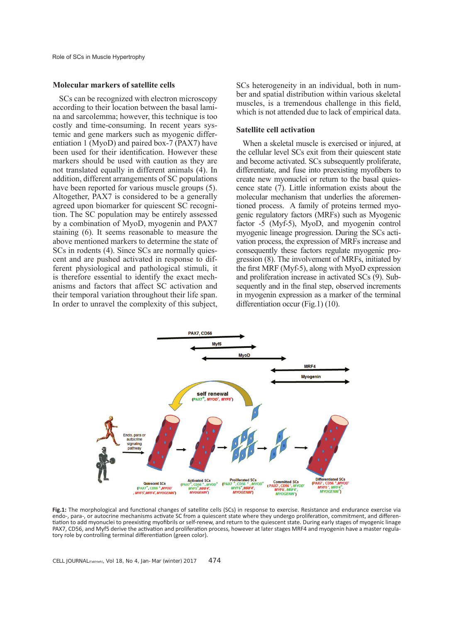#### **Molecular markers of satellite cells**

SCs can be recognized with electron microscopy according to their location between the basal lamina and sarcolemma; however, this technique is too costly and time-consuming. In recent years systemic and gene markers such as myogenic differentiation 1 (MyoD) and paired box-7 (PAX7) have been used for their identification. However these markers should be used with caution as they are not translated equally in different animals (4). In addition, different arrangements of SC populations have been reported for various muscle groups (5). Altogether, PAX7 is considered to be a generally agreed upon biomarker for quiescent SC recognition. The SC population may be entirely assessed by a combination of MyoD, myogenin and PAX7 staining (6). It seems reasonable to measure the above mentioned markers to determine the state of SCs in rodents (4). Since SCs are normally quiescent and are pushed activated in response to different physiological and pathological stimuli, it is therefore essential to identify the exact mechanisms and factors that affect SC activation and their temporal variation throughout their life span. In order to unravel the complexity of this subject,

SCs heterogeneity in an individual, both in number and spatial distribution within various skeletal muscles, is a tremendous challenge in this field, which is not attended due to lack of empirical data.

#### **Satellite cell activation**

When a skeletal muscle is exercised or injured, at the cellular level SCs exit from their quiescent state and become activated. SCs subsequently proliferate, differentiate, and fuse into preexisting myofibers to create new myonuclei or return to the basal quiescence state (7). Little information exists about the molecular mechanism that underlies the aforementioned process. A family of proteins termed myogenic regulatory factors (MRFs) such as Myogenic factor -5 (Myf-5), MyoD, and myogenin control myogenic lineage progression. During the SCs activation process, the expression of MRFs increase and consequently these factors regulate myogenic progression (8). The involvement of MRFs, initiated by the first MRF (Myf-5), along with MyoD expression and proliferation increase in activated SCs (9). Subsequently and in the final step, observed increments in myogenin expression as a marker of the terminal differentiation occur (Fig.1) (10).



Fig.1: The morphological and functional changes of satellite cells (SCs) in response to exercise. Resistance and endurance exercise via endo-, para-, or autocrine mechanisms activate SC from a quiescent state where they undergo proliferation, commitment, and differentiation to add myonuclei to preexisting myofibrils or self-renew, and return to the quiescent state. During early stages of myogenic linage PAX7, CD56, and Myf5 derive the activation and proliferation process, however at later stages MRF4 and myogenin have a master regulatory role by controlling terminal differentiation (green color).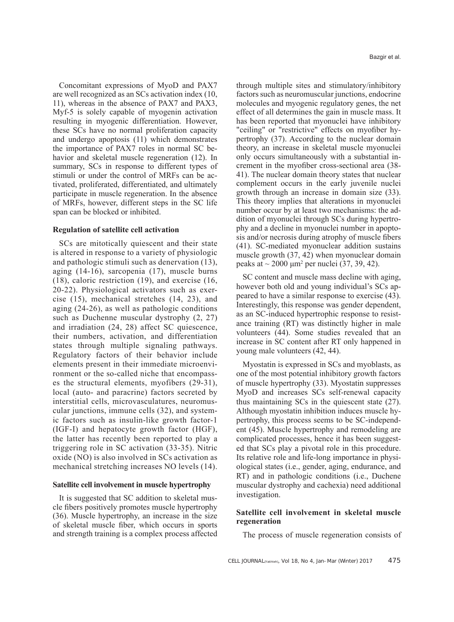Concomitant expressions of MyoD and PAX7 are well recognized as an SCs activation index (10, 11), whereas in the absence of PAX7 and PAX3, Myf-5 is solely capable of myogenin activation resulting in myogenic differentiation. However, these SCs have no normal proliferation capacity and undergo apoptosis (11) which demonstrates the importance of PAX7 roles in normal SC behavior and skeletal muscle regeneration (12). In summary, SCs in response to different types of stimuli or under the control of MRFs can be activated, proliferated, differentiated, and ultimately participate in muscle regeneration. In the absence of MRFs, however, different steps in the SC life span can be blocked or inhibited.

#### **Regulation of satellite cell activation**

SCs are mitotically quiescent and their state is altered in response to a variety of physiologic and pathologic stimuli such as denervation (13), aging (14-16), sarcopenia (17), muscle burns (18), caloric restriction (19), and exercise (16, 20-22). Physiological activators such as exercise (15), mechanical stretches (14, 23), and aging (24-26), as well as pathologic conditions such as Duchenne muscular dystrophy (2, 27) and irradiation (24, 28) affect SC quiescence, their numbers, activation, and differentiation states through multiple signaling pathways. Regulatory factors of their behavior include elements present in their immediate microenvironment or the so-called niche that encompasses the structural elements, myofibers (29-31), local (auto- and paracrine) factors secreted by interstitial cells, microvasculatures, neuromuscular junctions, immune cells (32), and systemic factors such as insulin-like growth factor-1 (IGF-I) and hepatocyte growth factor (HGF), the latter has recently been reported to play a triggering role in SC activation (33-35). Nitric oxide (NO) is also involved in SCs activation as mechanical stretching increases NO levels (14).

#### **Satellite cell involvement in muscle hypertrophy**

It is suggested that SC addition to skeletal muscle fibers positively promotes muscle hypertrophy (36). Muscle hypertrophy, an increase in the size of skeletal muscle fiber, which occurs in sports and strength training is a complex process affected through multiple sites and stimulatory/inhibitory factors such as neuromuscular junctions, endocrine molecules and myogenic regulatory genes, the net effect of all determines the gain in muscle mass. It has been reported that myonuclei have inhibitory "ceiling" or "restrictive" effects on myofiber hypertrophy (37). According to the nuclear domain theory, an increase in skeletal muscle myonuclei only occurs simultaneously with a substantial increment in the myofiber cross-sectional area (38- 41). The nuclear domain theory states that nuclear complement occurs in the early juvenile nuclei growth through an increase in domain size (33). This theory implies that alterations in myonuclei number occur by at least two mechanisms: the addition of myonuclei through SCs during hypertrophy and a decline in myonuclei number in apoptosis and/or necrosis during atrophy of muscle fibers (41). SC-mediated myonuclear addition sustains muscle growth (37, 42) when myonuclear domain peaks at  $\sim$  2000  $\mu$ m<sup>2</sup> per nuclei (37, 39, 42).

SC content and muscle mass decline with aging, however both old and young individual's SCs appeared to have a similar response to exercise (43). Interestingly, this response was gender dependent, as an SC-induced hypertrophic response to resistance training (RT) was distinctly higher in male volunteers (44). Some studies revealed that an increase in SC content after RT only happened in young male volunteers (42, 44).

Myostatin is expressed in SCs and myoblasts, as one of the most potential inhibitory growth factors of muscle hypertrophy (33). Myostatin suppresses MyoD and increases SCs self-renewal capacity thus maintaining SCs in the quiescent state (27). Although myostatin inhibition induces muscle hypertrophy, this process seems to be SC-independent (45). Muscle hypertrophy and remodeling are complicated processes, hence it has been suggested that SCs play a pivotal role in this procedure. Its relative role and life-long importance in physiological states (i.e., gender, aging, endurance, and RT) and in pathologic conditions (i.e., Duchene muscular dystrophy and cachexia) need additional investigation.

## **Satellite cell involvement in skeletal muscle regeneration**

The process of muscle regeneration consists of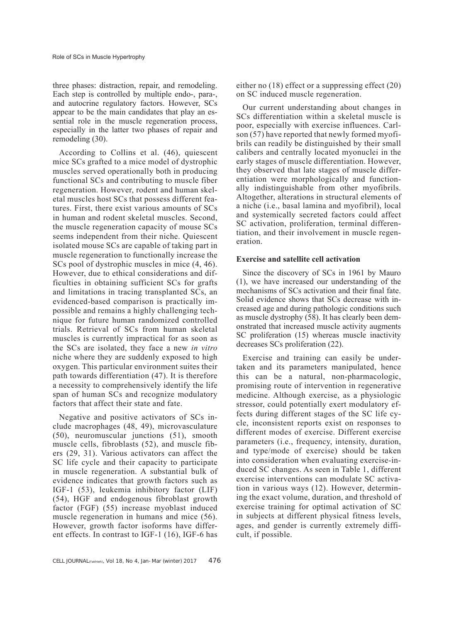three phases: distraction, repair, and remodeling. Each step is controlled by multiple endo-, para-, and autocrine regulatory factors. However, SCs appear to be the main candidates that play an essential role in the muscle regeneration process, especially in the latter two phases of repair and remodeling (30).

According to Collins et al. (46), quiescent mice SCs grafted to a mice model of dystrophic muscles served operationally both in producing functional SCs and contributing to muscle fiber regeneration. However, rodent and human skeletal muscles host SCs that possess different features. First, there exist various amounts of SCs in human and rodent skeletal muscles. Second, the muscle regeneration capacity of mouse SCs seems independent from their niche. Quiescent isolated mouse SCs are capable of taking part in muscle regeneration to functionally increase the SCs pool of dystrophic muscles in mice (4, 46). However, due to ethical considerations and difficulties in obtaining sufficient SCs for grafts and limitations in tracing transplanted SCs, an evidenced-based comparison is practically impossible and remains a highly challenging technique for future human randomized controlled trials. Retrieval of SCs from human skeletal muscles is currently impractical for as soon as the SCs are isolated, they face a new *in vitro* niche where they are suddenly exposed to high oxygen. This particular environment suites their path towards differentiation (47). It is therefore a necessity to comprehensively identify the life span of human SCs and recognize modulatory factors that affect their state and fate.

Negative and positive activators of SCs include macrophages (48, 49), microvasculature (50), neuromuscular junctions (51), smooth muscle cells, fibroblasts (52), and muscle fibers (29, 31). Various activators can affect the SC life cycle and their capacity to participate in muscle regeneration. A substantial bulk of evidence indicates that growth factors such as IGF-1 (53), leukemia inhibitory factor (LIF) (54), HGF and endogenous fibroblast growth factor (FGF) (55) increase myoblast induced muscle regeneration in humans and mice (56). However, growth factor isoforms have different effects. In contrast to IGF-1 (16), IGF-6 has

either no (18) effect or a suppressing effect (20) on SC induced muscle regeneration.

Our current understanding about changes in SCs differentiation within a skeletal muscle is poor, especially with exercise influences. Carlson (57) have reported that newly formed myofibrils can readily be distinguished by their small calibers and centrally located myonuclei in the early stages of muscle differentiation. However, they observed that late stages of muscle differentiation were morphologically and functionally indistinguishable from other myofibrils. Altogether, alterations in structural elements of a niche (i.e., basal lamina and myofibril), local and systemically secreted factors could affect SC activation, proliferation, terminal differentiation, and their involvement in muscle regeneration.

## **Exercise and satellite cell activation**

Since the discovery of SCs in 1961 by Mauro (1), we have increased our understanding of the mechanisms of SCs activation and their final fate. Solid evidence shows that SCs decrease with increased age and during pathologic conditions such as muscle dystrophy (58). It has clearly been demonstrated that increased muscle activity augments SC proliferation (15) whereas muscle inactivity decreases SCs proliferation (22).

Exercise and training can easily be undertaken and its parameters manipulated, hence this can be a natural, non-pharmacologic, promising route of intervention in regenerative medicine. Although exercise, as a physiologic stressor, could potentially exert modulatory effects during different stages of the SC life cycle, inconsistent reports exist on responses to different modes of exercise. Different exercise parameters (i.e., frequency, intensity, duration, and type/mode of exercise) should be taken into consideration when evaluating exercise-induced SC changes. As seen in Table 1, different exercise interventions can modulate SC activation in various ways (12). However, determining the exact volume, duration, and threshold of exercise training for optimal activation of SC in subjects at different physical fitness levels, ages, and gender is currently extremely difficult, if possible.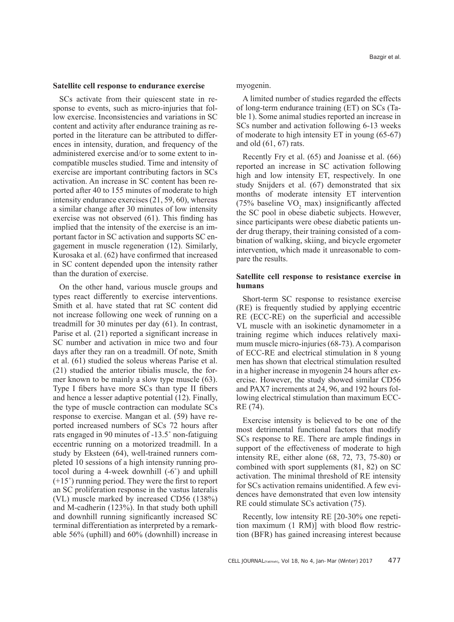#### **Satellite cell response to endurance exercise**

SCs activate from their quiescent state in response to events, such as micro-injuries that follow exercise. Inconsistencies and variations in SC content and activity after endurance training as reported in the literature can be attributed to differences in intensity, duration, and frequency of the administered exercise and/or to some extent to incompatible muscles studied. Time and intensity of exercise are important contributing factors in SCs activation. An increase in SC content has been reported after 40 to 155 minutes of moderate to high intensity endurance exercises (21, 59, 60), whereas a similar change after 30 minutes of low intensity exercise was not observed (61). This finding has implied that the intensity of the exercise is an important factor in SC activation and supports SC engagement in muscle regeneration (12). Similarly, Kurosaka et al. (62) have confirmed that increased in SC content depended upon the intensity rather than the duration of exercise.

On the other hand, various muscle groups and types react differently to exercise interventions. Smith et al. have stated that rat SC content did not increase following one week of running on a treadmill for 30 minutes per day (61). In contrast, Parise et al. (21) reported a significant increase in SC number and activation in mice two and four days after they ran on a treadmill. Of note, Smith et al. (61) studied the soleus whereas Parise et al. (21) studied the anterior tibialis muscle, the former known to be mainly a slow type muscle (63). Type I fibers have more SCs than type II fibers and hence a lesser adaptive potential (12). Finally, the type of muscle contraction can modulate SCs response to exercise. Mangan et al. (59) have reported increased numbers of SCs 72 hours after rats engaged in 90 minutes of -13.5˚ non-fatiguing eccentric running on a motorized treadmill. In a study by Eksteen (64), well-trained runners completed 10 sessions of a high intensity running protocol during a 4-week downhill (-6˚) and uphill  $(+15^{\degree})$  running period. They were the first to report an SC proliferation response in the vastus lateralis (VL) muscle marked by increased CD56 (138%) and M-cadherin (123%). In that study both uphill and downhill running significantly increased SC terminal differentiation as interpreted by a remarkable 56% (uphill) and 60% (downhill) increase in

myogenin.

A limited number of studies regarded the effects of long-term endurance training (ET) on SCs (Table 1). Some animal studies reported an increase in SCs number and activation following 6-13 weeks of moderate to high intensity ET in young (65-67) and old (61, 67) rats.

Recently Fry et al. (65) and Joanisse et al. (66) reported an increase in SC activation following high and low intensity ET, respectively. In one study Snijders et al. (67) demonstrated that six months of moderate intensity ET intervention (75% baseline  $VO<sub>2</sub>$  max) insignificantly affected the SC pool in obese diabetic subjects. However, since participants were obese diabetic patients under drug therapy, their training consisted of a combination of walking, skiing, and bicycle ergometer intervention, which made it unreasonable to compare the results.

#### **Satellite cell response to resistance exercise in humans**

Short-term SC response to resistance exercise (RE) is frequently studied by applying eccentric RE (ECC-RE) on the superficial and accessible VL muscle with an isokinetic dynamometer in a training regime which induces relatively maximum muscle micro-injuries (68-73). A comparison of ECC-RE and electrical stimulation in 8 young men has shown that electrical stimulation resulted in a higher increase in myogenin 24 hours after exercise. However, the study showed similar CD56 and PAX7 increments at 24, 96, and 192 hours following electrical stimulation than maximum ECC-RE (74).

Exercise intensity is believed to be one of the most detrimental functional factors that modify SCs response to RE. There are ample findings in support of the effectiveness of moderate to high intensity RE, either alone (68, 72, 73, 75-80) or combined with sport supplements (81, 82) on SC activation. The minimal threshold of RE intensity for SCs activation remains unidentified. A few evidences have demonstrated that even low intensity RE could stimulate SCs activation (75).

Recently, low intensity RE [20-30% one repetition maximum (1 RM)] with blood flow restriction (BFR) has gained increasing interest because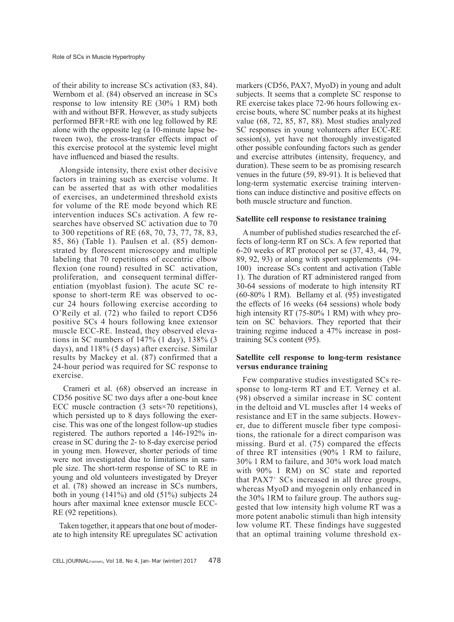of their ability to increase SCs activation (83, 84). Wernbom et al. (84) observed an increase in SCs response to low intensity RE (30% 1 RM) both with and without BFR. However, as study subjects performed BFR+RE with one leg followed by RE alone with the opposite leg (a 10-minute lapse between two), the cross-transfer effects impact of this exercise protocol at the systemic level might have influenced and biased the results.

Alongside intensity, there exist other decisive factors in training such as exercise volume. It can be asserted that as with other modalities of exercises, an undetermined threshold exists for volume of the RE mode beyond which RE intervention induces SCs activation. A few researches have observed SC activation due to 70 to 300 repetitions of RE (68, 70, 73, 77, 78, 83, 85, 86) (Table 1). Paulsen et al. (85) demonstrated by florescent microscopy and multiple labeling that 70 repetitions of eccentric elbow flexion (one round) resulted in SC activation, proliferation, and consequent terminal differentiation (myoblast fusion). The acute SC response to short-term RE was observed to occur 24 hours following exercise according to O'Reily et al. (72) who failed to report CD56 positive SCs 4 hours following knee extensor muscle ECC-RE. Instead, they observed elevations in SC numbers of 147% (1 day), 138% (3 days), and 118% (5 days) after exercise. Similar results by Mackey et al. (87) confirmed that a 24-hour period was required for SC response to exercise.

 Crameri et al. (68) observed an increase in CD56 positive SC two days after a one-bout knee ECC muscle contraction  $(3 \text{ sets} \times 70 \text{ repetitions})$ , which persisted up to 8 days following the exercise. This was one of the longest follow-up studies registered. The authors reported a 146-192% increase in SC during the 2- to 8-day exercise period in young men. However, shorter periods of time were not investigated due to limitations in sample size. The short-term response of SC to RE in young and old volunteers investigated by Dreyer et al. (78) showed an increase in SCs numbers, both in young (141%) and old (51%) subjects 24 hours after maximal knee extensor muscle ECC-RE (92 repetitions).

Taken together, it appears that one bout of moderate to high intensity RE upregulates SC activation markers (CD56, PAX7, MyoD) in young and adult subjects. It seems that a complete SC response to RE exercise takes place 72-96 hours following exercise bouts, where SC number peaks at its highest value (68, 72, 85, 87, 88). Most studies analyzed SC responses in young volunteers after ECC-RE session(s), yet have not thoroughly investigated other possible confounding factors such as gender and exercise attributes (intensity, frequency, and duration). These seem to be as promising research venues in the future (59, 89-91). It is believed that long-term systematic exercise training interventions can induce distinctive and positive effects on both muscle structure and function.

## **Satellite cell response to resistance training**

A number of published studies researched the effects of long-term RT on SCs. A few reported that 6-20 weeks of RT protocol per se (37, 43, 44, 79, 89, 92, 93) or along with sport supplements (94- 100) increase SCs content and activation (Table 1). The duration of RT administered ranged from 30-64 sessions of moderate to high intensity RT (60-80% 1 RM). Bellamy et al. (95) investigated the effects of 16 weeks (64 sessions) whole body high intensity RT (75-80% 1 RM) with whey protein on SC behaviors. They reported that their training regime induced a 47% increase in posttraining SCs content (95).

## **Satellite cell response to long-term resistance versus endurance training**

Few comparative studies investigated SCs response to long-term RT and ET. Verney et al. (98) observed a similar increase in SC content in the deltoid and VL muscles after 14 weeks of resistance and ET in the same subjects. However, due to different muscle fiber type compositions, the rationale for a direct comparison was missing. Burd et al. (75) compared the effects of three RT intensities (90% 1 RM to failure, 30% 1 RM to failure, and 30% work load match with 90% 1 RM) on SC state and reported that PAX7+ SCs increased in all three groups, whereas MyoD and myogenin only enhanced in the 30% 1RM to failure group. The authors suggested that low intensity high volume RT was a more potent anabolic stimuli than high intensity low volume RT. These findings have suggested that an optimal training volume threshold ex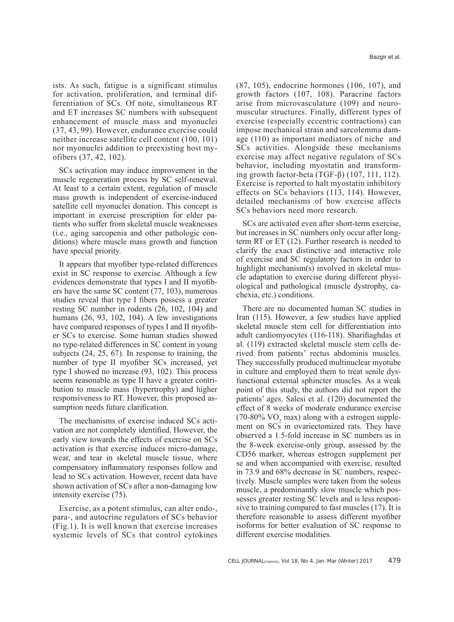ists. As such, fatigue is a significant stimulus for activation, proliferation, and terminal differentiation of SCs. Of note, simultaneous RT and ET increases SC numbers with subsequent enhancement of muscle mass and myonuclei (37, 43, 99). However, endurance exercise could neither increase satellite cell content (100, 101) nor myonuclei addition to preexisting host myofibers (37, 42, 102).

SCs activation may induce improvement in the muscle regeneration process by SC self-renewal. At least to a certain extent, regulation of muscle mass growth is independent of exercise-induced satellite cell myonuclei donation. This concept is important in exercise prescription for elder patients who suffer from skeletal muscle weaknesses (i.e., aging sarcopenia and other pathologic conditions) where muscle mass growth and function have special priority.

It appears that myofiber type-related differences exist in SC response to exercise. Although a few evidences demonstrate that types I and II myofibers have the same SC content (77, 103), numerous studies reveal that type I fibers possess a greater resting SC number in rodents (26, 102, 104) and humans (26, 93, 102, 104). A few investigations have compared responses of types I and II myofiber SCs to exercise. Some human studies showed no type-related differences in SC content in young subjects (24, 25, 67). In response to training, the number of type II myofiber SCs increased, yet type I showed no increase (93, 102). This process seems reasonable as type II have a greater contribution to muscle mass (hypertrophy) and higher responsiveness to RT. However, this proposed assumption needs future clarification.

The mechanisms of exercise induced SCs activation are not completely identified. However, the early view towards the effects of exercise on SCs activation is that exercise induces micro-damage, wear, and tear in skeletal muscle tissue, where compensatory inflammatory responses follow and lead to SCs activation. However, recent data have shown activation of SCs after a non-damaging low intensity exercise (75).

Exercise, as a potent stimulus, can alter endo-, para-, and autocrine regulators of SCs behavior (Fig.1). It is well known that exercise increases systemic levels of SCs that control cytokines

(87, 105), endocrine hormones (106, 107), and growth factors (107, 108). Paracrine factors arise from microvasculature (109) and neuromuscular structures. Finally, different types of exercise (especially eccentric contractions) can impose mechanical strain and sarcolemma damage (110) as important mediators of niche and SCs activities. Alongside these mechanisms exercise may affect negative regulators of SCs behavior, including myostatin and transforming growth factor-beta (TGF-β) (107, 111, 112). Exercise is reported to halt myostatin inhibitory effects on SCs behaviors (113, 114). However, detailed mechanisms of how exercise affects SCs behaviors need more research.

SCs are activated even after short-term exercise, but increases in SC numbers only occur after longterm RT or ET (12). Further research is needed to clarify the exact distinctive and interactive role of exercise and SC regulatory factors in order to highlight mechanism(s) involved in skeletal muscle adaptation to exercise during different physiological and pathological (muscle dystrophy, cachexia, etc.) conditions.

There are no documented human SC studies in Iran (115). However, a few studies have applied skeletal muscle stem cell for differentiation into adult cardiomyocytes (116-118). Sharifiaghdas et al. (119) extracted skeletal muscle stem cells derived from patients' rectus abdominis muscles. They successfully produced multinuclear myotube in culture and employed them to treat senile dysfunctional external sphincter muscles. As a weak point of this study, the authors did not report the patients' ages. Salesi et al. (120) documented the effect of 8 weeks of moderate endurance exercise  $(70-80\% \text{ VO}_2 \text{ max})$  along with a estrogen supplement on SCs in ovariectomized rats. They have observed a 1.5-fold increase in SC numbers as in the 8-week exercise-only group, assessed by the CD56 marker, whereas estrogen supplement per se and when accompanied with exercise, resulted in 73.9 and 68% decrease in SC numbers, respectively. Muscle samples were taken from the soleus muscle, a predominantly slow muscle which possesses greater resting SC levels and is less responsive to training compared to fast muscles (17). It is therefore reasonable to assess different myofiber isoforms for better evaluation of SC response to different exercise modalities.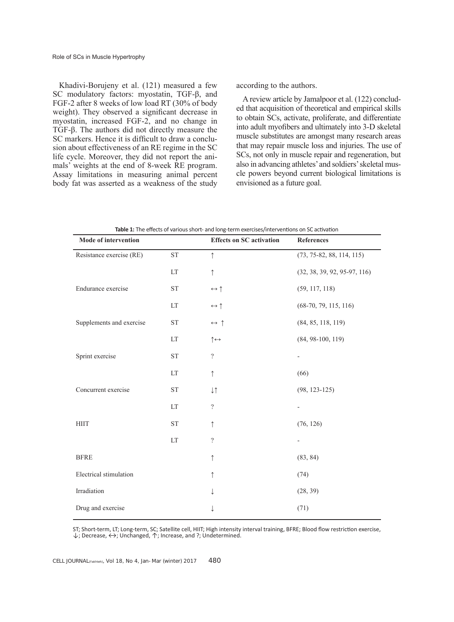Khadivi-Borujeny et al. (121) measured a few SC modulatory factors: myostatin, TGF-β, and FGF-2 after 8 weeks of low load RT (30% of body weight). They observed a significant decrease in myostatin, increased FGF-2, and no change in TGF-β. The authors did not directly measure the SC markers. Hence it is difficult to draw a conclusion about effectiveness of an RE regime in the SC life cycle. Moreover, they did not report the animals' weights at the end of 8-week RE program. Assay limitations in measuring animal percent body fat was asserted as a weakness of the study

according to the authors.

A review article by Jamalpoor et al. (122) concluded that acquisition of theoretical and empirical skills to obtain SCs, activate, proliferate, and differentiate into adult myofibers and ultimately into 3-D skeletal muscle substitutes are amongst many research areas that may repair muscle loss and injuries. The use of SCs, not only in muscle repair and regeneration, but also in advancing athletes' and soldiers' skeletal muscle powers beyond current biological limitations is envisioned as a future goal.

| Table 1: The effects of various short- and long-term exercises/interventions on SC activation |                            |                                 |                                |
|-----------------------------------------------------------------------------------------------|----------------------------|---------------------------------|--------------------------------|
| Mode of intervention                                                                          |                            | <b>Effects on SC activation</b> | <b>References</b>              |
| Resistance exercise (RE)                                                                      | ${\rm ST}$                 | $\uparrow$                      | $(73, 75-82, 88, 114, 115)$    |
|                                                                                               | LT                         | $\uparrow$                      | $(32, 38, 39, 92, 95-97, 116)$ |
| Endurance exercise                                                                            | ${\rm ST}$                 | $\leftrightarrow \uparrow$      | (59, 117, 118)                 |
|                                                                                               | LT                         | $\leftrightarrow \uparrow$      | $(68-70, 79, 115, 116)$        |
| Supplements and exercise                                                                      | ${\rm ST}$                 | $\leftrightarrow$ ↑             | (84, 85, 118, 119)             |
|                                                                                               | LT                         | $\uparrow \leftrightarrow$      | $(84, 98-100, 119)$            |
| Sprint exercise                                                                               | <b>ST</b>                  | $\overline{?}$                  |                                |
|                                                                                               | LT                         | $\uparrow$                      | (66)                           |
| Concurrent exercise                                                                           | <b>ST</b>                  | $\downarrow\uparrow$            | $(98, 123 - 125)$              |
|                                                                                               | LT                         | $\overline{?}$                  |                                |
| <b>HIIT</b>                                                                                   | <b>ST</b>                  | $\uparrow$                      | (76, 126)                      |
|                                                                                               | $\mathop{\rm LT}\nolimits$ | $\overline{?}$                  |                                |
| <b>BFRE</b>                                                                                   |                            | $\uparrow$                      | (83, 84)                       |
| Electrical stimulation                                                                        |                            | ↑                               | (74)                           |
| Irradiation                                                                                   |                            |                                 | (28, 39)                       |
| Drug and exercise                                                                             |                            |                                 | (71)                           |

ST; Short-term, LT; Long-term, SC; Satellite cell, HIIT; High intensity interval training, BFRE; Blood flow restriction exercise,  $\downarrow$ ; Decrease,  $\leftrightarrow$ ; Unchanged,  $\uparrow$ ; Increase, and ?; Undetermined.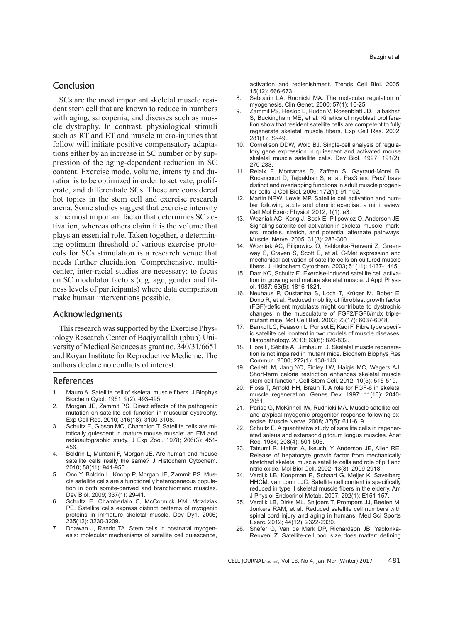# Conclusion

SCs are the most important skeletal muscle resident stem cell that are known to reduce in numbers with aging, sarcopenia, and diseases such as muscle dystrophy. In contrast, physiological stimuli such as RT and ET and muscle micro-injuries that follow will initiate positive compensatory adaptations either by an increase in SC number or by suppression of the aging-dependent reduction in SC content. Exercise mode, volume, intensity and duration is to be optimized in order to activate, proliferate, and differentiate SCs. These are considered hot topics in the stem cell and exercise research arena. Some studies suggest that exercise intensity is the most important factor that determines SC activation, whereas others claim it is the volume that plays an essential role. Taken together, a determining optimum threshold of various exercise protocols for SCs stimulation is a research venue that needs further elucidation. Comprehensive, multicenter, inter-racial studies are necessary; to focus on SC modulator factors (e.g. age, gender and fitness levels of participants) where data comparison make human interventions possible.

## Acknowledgments

This research was supported by the Exercise Physiology Research Center of Baqiyatallah (pbuh) University of Medical Sciences as grant no. 340/31/6651 and Royan Institute for Reproductive Medicine. The authors declare no conflicts of interest.

## References

- 1. Mauro A. Satellite cell of skeletal muscle fibers. J Biophys Biochem Cytol. 1961; 9(2): 493-495.
- Morgan JE, Zammit PS. Direct effects of the pathogenic mutation on satellite cell function in muscular dystrophy. Exp Cell Res. 2010; 316(18): 3100-3108.
- 3. Schultz E, Gibson MC, Champion T. Satellite cells are mitotically quiescent in mature mouse muscle: an EM and radioautographic study. J Exp Zool. 1978; 206(3): 451- 456.
- 4. Boldrin L, Muntoni F, Morgan JE. Are human and mouse satellite cells really the same? J Histochem Cytochem. 2010; 58(11): 941-955.
- 5. Ono Y, Boldrin L, Knopp P, Morgan JE, Zammit PS. Muscle satellite cells are a functionally heterogeneous population in both somite-derived and branchiomeric muscles. Dev Biol. 2009; 337(1): 29-41.
- 6. Schultz E, Chamberlain C, McCormick KM, Mozdziak PE. Satellite cells express distinct patterns of myogenic proteins in immature skeletal muscle. Dev Dyn. 2006; 235(12): 3230-3209.
- 7. Dhawan J, Rando TA. Stem cells in postnatal myogenesis: molecular mechanisms of satellite cell quiescence,

activation and replenishment. Trends Cell Biol. 2005; 15(12): 666-673.

- 8. Sabourin LA, Rudnicki MA. The molecular regulation of myogenesis. Clin Genet. 2000; 57(1): 16-25.
- 9. Zammit PS, Heslop L, Hudon V, Rosenblatt JD, Tajbakhsh S, Buckingham ME, et al. Kinetics of myoblast proliferation show that resident satellite cells are competent to fully regenerate skeletal muscle fibers. Exp Cell Res. 2002; 281(1): 39-49.
- 10. Cornelison DDW, Wold BJ. Single-cell analysis of regulatory gene expression in quiescent and activated mouse skeletal muscle satellite cells. Dev Biol. 1997; 191(2): 270-283.
- 11. Relaix F, Montarras D, Zaffran S, Gayraud-Morel B, Rocancourt D, Tajbakhsh S, et al. Pax3 and Pax7 have distinct and overlapping functions in adult muscle progenitor cells. J Cell Biol. 2006; 172(1): 91-102.
- 12. Martin NRW, Lewis MP. Satellite cell activation and number following acute and chronic exercise: a mini review. Cell Mol Exerc Physiol. 2012; 1(1): e3.
- 13. Wozniak AC, Kong J, Bock E, Pilipowicz O, Anderson JE. Signaling satellite cell activation in skeletal muscle: markers, models, stretch, and potential alternate pathways. Muscle Nerve. 2005; 31(3): 283-300.
- 14. Wozniak AC, Pilipowicz O, Yablonka-Reuveni Z, Greenway S, Craven S, Scott E, et al. C-Met expression and mechanical activation of satellite cells on cultured muscle fibers. J Histochem Cytochem. 2003; 51(11): 1437-1445.
- 15. Darr KC, Schultz E. Exercise-induced satellite cell activation in growing and mature skeletal muscle. J Appl Physiol. 1987; 63(5): 1816-1821.
- 16. Neuhaus P, Oustanina S, Loch T, Krüger M, Bober E, Dono R, et al. Reduced mobility of fibroblast growth factor (FGF)-deficient myoblasts might contribute to dystrophic changes in the musculature of FGF2/FGF6/mdx triplemutant mice. Mol Cell Biol. 2003; 23(17): 6037-6048.
- 17. Bankol LC, Feasson L, Ponsot E, Kadi F. Fibre type specific satellite cell content in two models of muscle diseases. Histopathology. 2013; 63(6): 826-832.
- 18. Fiore F, Sébille A, Birnbaum D. Skeletal muscle regeneration is not impaired in mutant mice. Biochem Biophys Res Commun. 2000; 272(1): 138-143.
- 19. Cerletti M, Jang YC, Finley LW, Haigis MC, Wagers AJ. Short-term calorie restriction enhances skeletal muscle stem cell function. Cell Stem Cell. 2012; 10(5): 515-519.
- 20. Floss T, Arnold HH, Braun T. A role for FGF-6 in skeletal muscle regeneration. Genes Dev. 1997; 11(16): 2040- 2051.
- 21. Parise G, McKinnell IW, Rudnicki MA. Muscle satellite cell and atypical myogenic progenitor response following exercise. Muscle Nerve. 2008; 37(5): 611-619.
- 22. Schultz E. A quantitative study of satellite cells in regenerated soleus and extensor digitorum longus muscles. Anat Rec. 1984; 208(4): 501-506.
- 23. Tatsumi R, Hattori A, Ikeuchi Y, Anderson JE, Allen RE. Release of hepatocyte growth factor from mechanically stretched skeletal muscle satellite cells and role of pH and nitric oxide. Mol Biol Cell. 2002; 13(8): 2909-2918.
- 24. Verdijk LB, Koopman R, Schaart G, Meijer K, Savelberg HHCM, van Loon LJC. Satellite cell content is specifically reduced in type II skeletal muscle fibers in the elderly. Am J Physiol Endocrinol Metab. 2007; 292(1): E151-157.
- 25. Verdijk LB, Dirks ML, Snijders T, Prompers JJ, Beelen M, Jonkers RAM, et al. Reduced satellite cell numbers with spinal cord injury and aging in humans. Med Sci Sports Exerc. 2012; 44(12): 2322-2330.
- 26. Shefer G, Van de Mark DP, Richardson JB, Yablonka-Reuveni Z. Satellite-cell pool size does matter: defining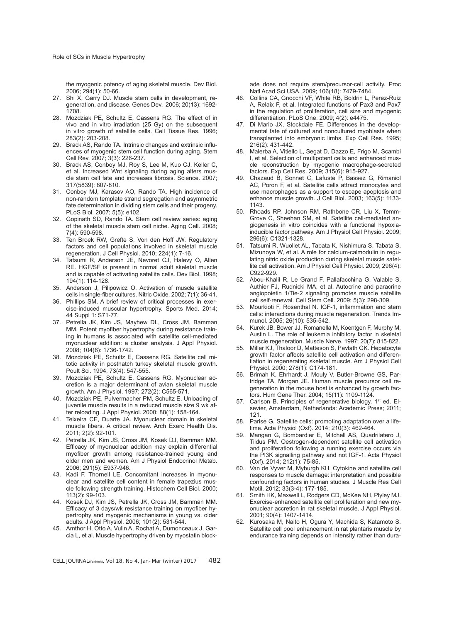the myogenic potency of aging skeletal muscle. Dev Biol. 2006; 294(1): 50-66.

- 27. Shi X, Garry DJ. Muscle stem cells in development, regeneration, and disease. Genes Dev. 2006; 20(13): 1692- 1708.
- 28. Mozdziak PE, Schultz E, Cassens RG. The effect of in vivo and in vitro irradiation (25 Gy) on the subsequent in vitro growth of satellite cells. Cell Tissue Res. 1996; 283(2): 203-208.
- 29. Brack AS, Rando TA. Intrinsic changes and extrinsic influences of myogenic stem cell function during aging. Stem Cell Rev. 2007; 3(3): 226-237.
- 30. Brack AS, Conboy MJ, Roy S, Lee M, Kuo CJ, Keller C, et al. Increased Wnt signaling during aging alters muscle stem cell fate and increases fibrosis. Science. 2007; 317(5839): 807-810.
- 31. Conboy MJ, Karasov AO, Rando TA. High incidence of non-random template strand segregation and asymmetric fate determination in dividing stem cells and their progeny. PLoS Biol. 2007; 5(5): e102.
- 32. Gopinath SD, Rando TA. Stem cell review series: aging of the skeletal muscle stem cell niche. Aging Cell. 2008; 7(4): 590-598.
- 33. Ten Broek RW, Grefte S, Von den Hoff JW. Regulatory factors and cell populations involved in skeletal muscle regeneration. J Cell Physiol. 2010; 224(1): 7-16.
- 34. Tatsumi R, Anderson JE, Nevoret CJ, Halevy O, Allen RE. HGF/SF is present in normal adult skeletal muscle and is capable of activating satellite cells. Dev Biol. 1998; 194(1): 114-128.
- 35. Anderson J, Pilipowicz O. Activation of muscle satellite cells in single-fiber cultures. Nitric Oxide. 2002; 7(1): 36-41.
- 36. Phillips SM. A brief review of critical processes in exercise-induced muscular hypertrophy. Sports Med. 2014; 44 Suppl 1: S71-77.
- 37. Petrella JK, Kim JS, Mayhew DL, Cross JM, Bamman MM. Potent myofiber hypertrophy during resistance training in humans is associated with satellite cell-mediated myonuclear addition: a cluster analysis. J Appl Physiol. 2008; 104(6): 1736-1742.
- 38. Mozdziak PE, Schultz E, Cassens RG. Satellite cell mitotic activity in posthatch turkey skeletal muscle growth. Poult Sci. 1994; 73(4): 547-555.
- 39. Mozdziak PE, Schultz E, Cassens RG. Myonuclear accretion is a major determinant of avian skeletal muscle growth. Am J Physiol. 1997; 272(2): C565-571.
- 40. Mozdziak PE, Pulvermacher PM, Schultz E. Unloading of juvenile muscle results in a reduced muscle size 9 wk after reloading. J Appl Physiol. 2000; 88(1): 158-164.
- 41. Teixeira CE, Duarte JA. Myonuclear domain in skeletal muscle fibers. A critical review. Arch Exerc Health Dis. 2011; 2(2): 92-101.
- 42. Petrella JK, Kim JS, Cross JM, Kosek DJ, Bamman MM. Efficacy of myonuclear addition may explain differential myofiber growth among resistance-trained young and older men and women. Am J Physiol Endocrinol Metab. 2006; 291(5): E937-946.
- 43. Kadi F, Thornell LE. Concomitant increases in myonuclear and satellite cell content in female trapezius muscle following strength training. Histochem Cell Biol. 2000; 113(2): 99-103.
- 44. Kosek DJ, Kim JS, Petrella JK, Cross JM, Bamman MM. Efficacy of 3 days/wk resistance training on myofiber hypertrophy and myogenic mechanisms in young vs. older adults. J Appl Physiol. 2006; 101(2): 531-544.
- 45. Amthor H, Otto A, Vulin A, Rochat A, Dumonceaux J, Garcia L, et al. Muscle hypertrophy driven by myostatin block-

ade does not require stem/precursor-cell activity. Proc Natl Acad Sci USA. 2009; 106(18): 7479-7484.

- 46. Collins CA, Gnocchi VF, White RB, Boldrin L, Perez-Ruiz A, Relaix F, et al. Integrated functions of Pax3 and Pax7 in the regulation of proliferation, cell size and myogenic differentiation. PLoS One. 2009; 4(2): e4475.
- 47. Di Mario JX, Stockdale FE. Differences in the developmental fate of cultured and noncultured myoblasts when transplanted into embryonic limbs. Exp Cell Res. 1995; 216(2): 431-442.
- 48. Malerba A, Vitiello L, Segat D, Dazzo E, Frigo M, Scambi I, et al. Selection of multipotent cells and enhanced muscle reconstruction by myogenic macrophage-secreted factors. Exp Cell Res. 2009; 315(6): 915-927.
- 49. Chazaud B, Sonnet C, Lafuste P, Bassez G, Rimaniol AC, Poron F, et al. Satellite cells attract monocytes and use macrophages as a support to escape apoptosis and enhance muscle growth. J Cell Biol. 2003; 163(5): 1133- 1143.
- 50. Rhoads RP, Johnson RM, Rathbone CR, Liu X, Temm-Grove C, Sheehan SM, et al. Satellite cell-mediated angiogenesis in vitro coincides with a functional hypoxiainducible factor pathway. Am J Physiol Cell Physiol. 2009; 296(6): C1321-1328.
- 51. Tatsumi R, Wuollet AL, Tabata K, Nishimura S, Tabata S, Mizunoya W, et al. A role for calcium-calmodulin in regulating nitric oxide production during skeletal muscle satellite cell activation. Am J Physiol Cell Physiol. 2009; 296(4): C922-929.
- 52. Abou-Khalil R, Le Grand F, Pallafacchina G, Valable S, Authier FJ, Rudnicki MA, et al. Autocrine and paracrine angiopoietin 1/Tie-2 signaling promotes muscle satellite cell self-renewal. Cell Stem Cell. 2009; 5(3): 298-309.
- 53. Mourkioti F, Rosenthal N. IGF-1, inflammation and stem cells: interactions during muscle regeneration. Trends Immunol. 2005; 26(10): 535-542.
- 54. Kurek JB, Bower JJ, Romanella M, Koentgen F, Murphy M, Austin L. The role of leukemia inhibitory factor in skeletal muscle regeneration. Muscle Nerve. 1997; 20(7): 815-822.
- Miller KJ, Thaloor D, Matteson S, Pavlath GK. Hepatocyte growth factor affects satellite cell activation and differentiation in regenerating skeletal muscle. Am J Physiol Cell Physiol. 2000; 278(1): C174-181.
- 56. Brimah K, Ehrhardt J, Mouly V, Butler-Browne GS, Partridge TA, Morgan JE. Human muscle precursor cell regeneration in the mouse host is enhanced by growth factors. Hum Gene Ther. 2004; 15(11): 1109-1124.
- 57. Carlson B. Principles of regenerative biology. 1st ed. Elsevier, Amsterdam, Netherlands: Academic Press; 2011; 121.
- 58. Parise G. Satellite cells: promoting adaptation over a lifetime. Acta Physiol (Oxf). 2014; 210(3): 462-464.
- Mangan G, Bombardier E, Mitchell AS, Quadrilatero J, Tiidus PM. Oestrogen-dependent satellite cell activation and proliferation following a running exercise occurs via the PI3K signalling pathway and not IGF-1. Acta Physiol (Oxf). 2014; 212(1): 75-85.
- 60. Van de Vyver M, Myburgh KH. Cytokine and satellite cell responses to muscle damage: interpretation and possible confounding factors in human studies. J Muscle Res Cell Motil. 2012; 33(3-4): 177-185.
- 61. Smith HK, Maxwell L, Rodgers CD, McKee NH, Plyley MJ. Exercise-enhanced satellite cell proliferation and new myonuclear accretion in rat skeletal muscle. J Appl Physiol. 2001; 90(4): 1407-1414.
- 62. Kurosaka M, Naito H, Ogura Y, Machida S, Katamoto S. Satellite cell pool enhancement in rat plantaris muscle by endurance training depends on intensity rather than dura-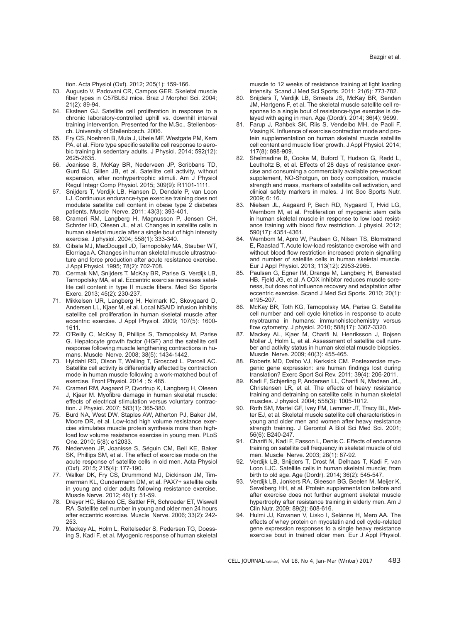tion. Acta Physiol (Oxf). 2012; 205(1): 159-166.

- 63. Augusto V, Padovani CR, Campos GER. Skeletal muscle fiber types in C57BL6J mice. Braz J Morphol Sci. 2004; 21(2): 89-94.
- 64. Eksteen GJ. Satellite cell proliferation in response to a chronic laboratory-controlled uphill vs. downhill interval training intervention. Presented for the M.Sc., Stellenbosch. University of Stellenbosch. 2006.
- 65. Fry CS, Noehren B, Mula J, Ubele MF, Westgate PM, Kern PA, et al. Fibre type specific satellite cell response to aerobic training in sedentary adults. J Physiol. 2014; 592(12): 2625-2635.
- 66. Joanisse S, McKay BR, Nederveen JP, Scribbans TD, Gurd BJ, Gillen JB, et al. Satellite cell activity, without expansion, after nonhypertrophic stimuli. Am J Physiol Regul Integr Comp Physiol. 2015; 309(9): R1101-1111.
- 67. Snijders T, Verdijk LB, Hansen D, Dendale P, van Loon LJ. Continuous endurance-type exercise training does not modulate satellite cell content in obese type 2 diabetes patients. Muscle Nerve. 2011; 43(3): 393-401.
- 68. Crameri RM, Langberg H, Magnusson P, Jensen CH, Schrder HD, Olesen JL, et al. Changes in satellite cells in human skeletal muscle after a single bout of high intensity exercise. J physiol. 2004; 558(1): 333-340.
- 69. Gibala MJ, MacDougall JD, Tarnopolsky MA, Stauber WT, Elorriaga A. Changes in human skeletal muscle ultrastructure and force production after acute resistance exercise. J Appl Physiol. 1995; 78(2): 702-708.
- 70. Cermak NM, Snijders T, McKay BR, Parise G, Verdijk LB, Tarnopolsky MA, et al. Eccentric exercise increases satellite cell content in type II muscle fibers. Med Sci Sports Exerc. 2013; 45(2): 230-237.
- 71. Mikkelsen UR, Langberg H, Helmark IC, Skovgaard D, Andersen LL, Kjaer M, et al. Local NSAID infusion inhibits satellite cell proliferation in human skeletal muscle after eccentric exercise. J Appl Physiol. 2009; 107(5): 1600- 1611.
- 72. O'Reilly C, McKay B, Phillips S, Tarnopolsky M, Parise G. Hepatocyte growth factor (HGF) and the satellite cell response following muscle lengthening contractions in humans. Muscle Nerve. 2008; 38(5): 1434-1442.
- 73. Hyldahl RD, Olson T, Welling T, Groscost L, Parcell AC. Satellite cell activity is differentially affected by contraction mode in human muscle following a work-matched bout of exercise. Front Physiol. 2014 ; 5: 485.
- 74. Crameri RM, Aagaard P, Qvortrup K, Langberg H, Olesen J, Kjaer M. Myofibre damage in human skeletal muscle: effects of electrical stimulation versus voluntary contraction. J Physiol. 2007; 583(1): 365-380.
- 75. Burd NA, West DW, Staples AW, Atherton PJ, Baker JM, Moore DR, et al. Low-load high volume resistance exercise stimulates muscle protein synthesis more than highload low volume resistance exercise in young men. PLoS One. 2010; 5(8): e12033.
- 76. Nederveen JP, Joanisse S, Séguin CM, Bell KE, Baker SK, Phillips SM, et al. The effect of exercise mode on the acute response of satellite cells in old men. Acta Physiol (Oxf). 2015; 215(4): 177-190.
- 77. Walker DK, Fry CS, Drummond MJ, Dickinson JM, Timmerman KL, Gundermann DM, et al. PAX7+ satellite cells in young and older adults following resistance exercise. Muscle Nerve. 2012; 46(1): 51-59.
- 78. Dreyer HC, Blanco CE, Sattler FR, Schroeder ET, Wiswell RA. Satellite cell number in young and older men 24 hours after eccentric exercise. Muscle Nerve. 2006; 33(2): 242- 253.
- 79. Mackey AL, Holm L, Reitelseder S, Pedersen TG, Doessing S, Kadi F, et al. Myogenic response of human skeletal

muscle to 12 weeks of resistance training at light loading intensity. Scand J Med Sci Sports. 2011; 21(6): 773-782.

- 80. Snijders T, Verdijk LB, Smeets JS, McKay BR, Senden JM, Hartgens F, et al. The skeletal muscle satellite cell response to a single bout of resistance-type exercise is delayed with aging in men. Age (Dordr). 2014; 36(4): 9699.
- 81. Farup J, Rahbek SK, Riis S, Vendelbo MH, de Paoli F, Vissing K. Influence of exercise contraction mode and protein supplementation on human skeletal muscle satellite cell content and muscle fiber growth. J Appl Physiol. 2014; 117(8): 898-909.
- 82. Shelmadine B, Cooke M, Buford T, Hudson G, Redd L, Leutholtz B, et al. Effects of 28 days of resistance exercise and consuming a commercially available pre-workout supplement, NO-Shotgun, on body composition, muscle strength and mass, markers of satellite cell activation, and clinical safety markers in males. J Int Soc Sports Nutr. 2009; 6: 16.
- 83. Nielsen JL, Aagaard P, Bech RD, Nygaard T, Hvid LG, Wernbom M, et al. Proliferation of myogenic stem cells in human skeletal muscle in response to low load resistance training with blood flow restriction. J physiol. 2012; 590(17): 4351-4361.
- 84. Wernbom M, Apro W, Paulsen G, Nilsen TS, Blomstrand E, Raastad T. Acute low-load resistance exercise with and without blood flow restriction increased protein signalling and number of satellite cells in human skeletal muscle. Eur J Appl Physiol. 2013; 113(12): 2953-2965.
- 85. Paulsen G, Egner IM, Drange M, Langberg H, Benestad HB, Fjeld JG, et al. A COX inhibitor reduces muscle soreness, but does not influence recovery and adaptation after eccentric exercise. Scand J Med Sci Sports. 2010; 20(1): e195-207.
- 86. McKay BR, Toth KG, Tarnopolsky MA, Parise G. Satellite cell number and cell cycle kinetics in response to acute myotrauma in humans: immunohistochemistry versus flow cytometry. J physiol. 2010; 588(17): 3307-3320.
- 87. Mackey AL, Kjaer M, Charifi N, Henriksson J, Bojsen Moller J, Holm L, et al. Assessment of satellite cell number and activity status in human skeletal muscle biopsies. Muscle Nerve. 2009; 40(3): 455-465.
- 88. Roberts MD, Dalbo VJ, Kerksick CM. Postexercise myogenic gene expression: are human findings lost during translation? Exerc Sport Sci Rev. 2011; 39(4): 206-2011.
- 89. Kadi F, Schjerling P, Andersen LL, Charifi N, Madsen JrL, Christensen LR, et al. The effects of heavy resistance training and detraining on satellite cells in human skeletal muscles. J physiol. 2004; 558(3): 1005-1012.
- 90. Roth SM, Martel GF, Ivey FM, Lemmer JT, Tracy BL, Metter EJ, et al. Skeletal muscle satellite cell characteristics in young and older men and women after heavy resistance strength training. J Gerontol A Biol Sci Med Sci. 2001; 56(6): B240-247.
- 91. Charifi N, Kadi F, Fasson L, Denis C. Effects of endurance training on satellite cell frequency in skeletal muscle of old men. Muscle Nerve. 2003; 28(1): 87-92.
- 92. Verdijk LB, Snijders T, Drost M, Delhaas T, Kadi F, van Loon LJC. Satellite cells in human skeletal muscle; from birth to old age. Age (Dordr). 2014; 36(2): 545-547.
- 93. Verdijk LB, Jonkers RA, Gleeson BG, Beelen M, Meijer K, Savelberg HH, et al. Protein supplementation before and after exercise does not further augment skeletal muscle hypertrophy after resistance training in elderly men. Am J Clin Nutr. 2009; 89(2): 608-616.
- 94. Hulmi JJ, Kovanen V, Lisko I, Selänne H, Mero AA. The effects of whey protein on myostatin and cell cycle-related gene expression responses to a single heavy resistance exercise bout in trained older men. Eur J Appl Physiol.